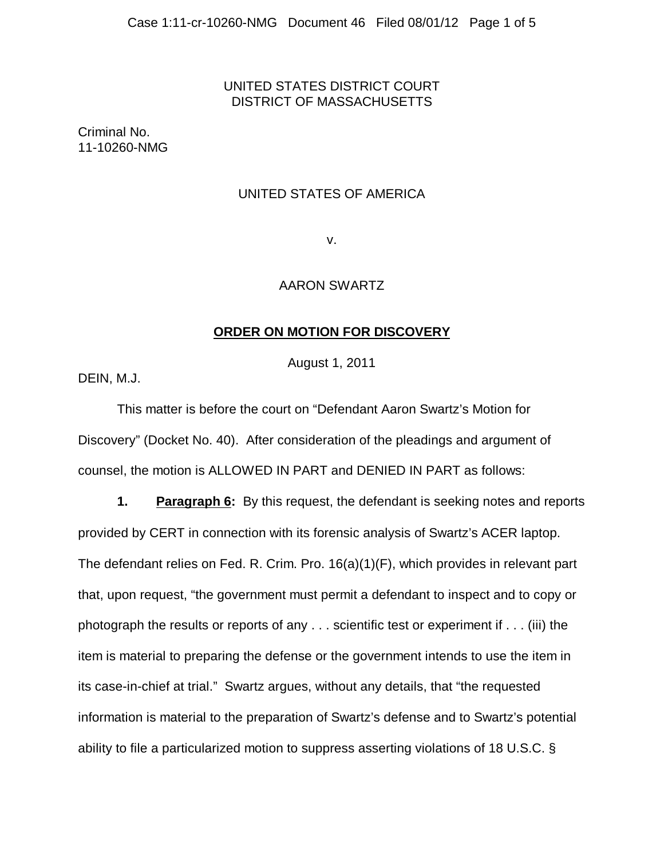# UNITED STATES DISTRICT COURT DISTRICT OF MASSACHUSETTS

Criminal No. 11-10260-NMG

# UNITED STATES OF AMERICA

v.

## AARON SWARTZ

## **ORDER ON MOTION FOR DISCOVERY**

August 1, 2011

DEIN, M.J.

This matter is before the court on "Defendant Aaron Swartz's Motion for Discovery" (Docket No. 40). After consideration of the pleadings and argument of counsel, the motion is ALLOWED IN PART and DENIED IN PART as follows:

**1. Paragraph 6:** By this request, the defendant is seeking notes and reports provided by CERT in connection with its forensic analysis of Swartz's ACER laptop. The defendant relies on Fed. R. Crim. Pro. 16(a)(1)(F), which provides in relevant part that, upon request, "the government must permit a defendant to inspect and to copy or photograph the results or reports of any . . . scientific test or experiment if . . . (iii) the item is material to preparing the defense or the government intends to use the item in its case-in-chief at trial." Swartz argues, without any details, that "the requested information is material to the preparation of Swartz's defense and to Swartz's potential ability to file a particularized motion to suppress asserting violations of 18 U.S.C. §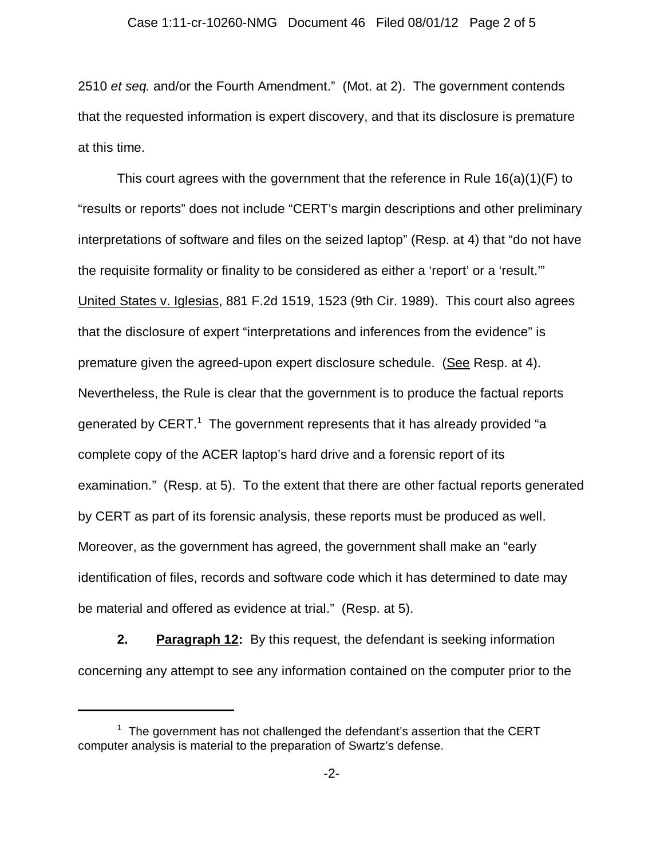2510 *et seq.* and/or the Fourth Amendment." (Mot. at 2). The government contends that the requested information is expert discovery, and that its disclosure is premature at this time.

This court agrees with the government that the reference in Rule 16(a)(1)(F) to "results or reports" does not include "CERT's margin descriptions and other preliminary interpretations of software and files on the seized laptop" (Resp. at 4) that "do not have the requisite formality or finality to be considered as either a 'report' or a 'result.'" United States v. Iglesias, 881 F.2d 1519, 1523 (9th Cir. 1989). This court also agrees that the disclosure of expert "interpretations and inferences from the evidence" is premature given the agreed-upon expert disclosure schedule. (See Resp. at 4). Nevertheless, the Rule is clear that the government is to produce the factual reports generated by  $\textsf{CERT.}^\textsf{T}$  The government represents that it has already provided "a complete copy of the ACER laptop's hard drive and a forensic report of its examination." (Resp. at 5). To the extent that there are other factual reports generated by CERT as part of its forensic analysis, these reports must be produced as well. Moreover, as the government has agreed, the government shall make an "early identification of files, records and software code which it has determined to date may be material and offered as evidence at trial." (Resp. at 5).

**2. Paragraph 12:** By this request, the defendant is seeking information concerning any attempt to see any information contained on the computer prior to the

 $1$  The government has not challenged the defendant's assertion that the CERT computer analysis is material to the preparation of Swartz's defense.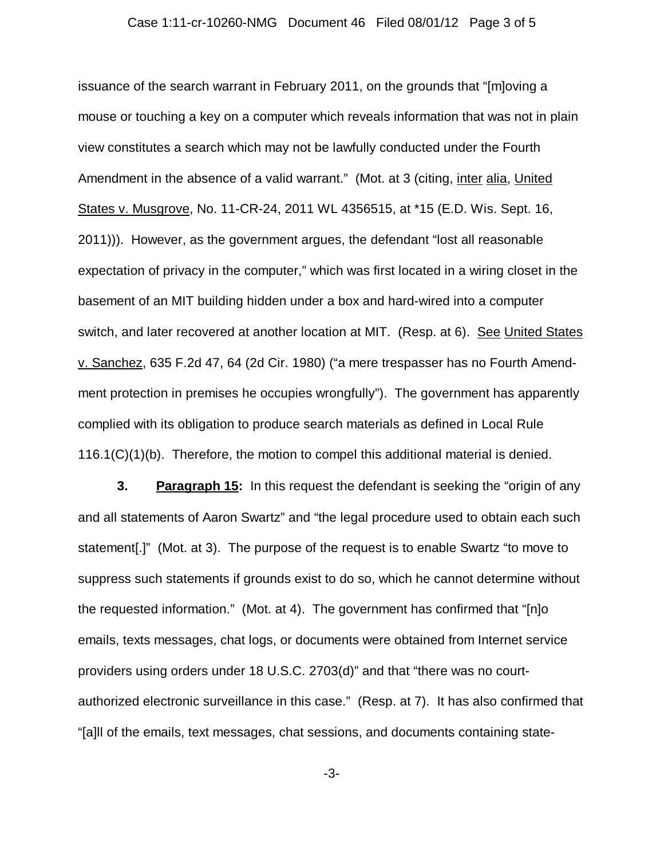### Case 1:11-cr-10260-NMG Document 46 Filed 08/01/12 Page 3 of 5

issuance of the search warrant in February 2011, on the grounds that "[m]oving a mouse or touching a key on a computer which reveals information that was not in plain view constitutes a search which may not be lawfully conducted under the Fourth Amendment in the absence of a valid warrant." (Mot. at 3 (citing, inter alia, United States v. Musgrove, No. 11-CR-24, 2011 WL 4356515, at \*15 (E.D. Wis. Sept. 16, 2011))). However, as the government argues, the defendant "lost all reasonable expectation of privacy in the computer," which was first located in a wiring closet in the basement of an MIT building hidden under a box and hard-wired into a computer switch, and later recovered at another location at MIT. (Resp. at 6). See United States v. Sanchez, 635 F.2d 47, 64 (2d Cir. 1980) ("a mere trespasser has no Fourth Amendment protection in premises he occupies wrongfully"). The government has apparently complied with its obligation to produce search materials as defined in Local Rule  $116.1(C)(1)(b)$ . Therefore, the motion to compel this additional material is denied.

**3. Paragraph 15:** In this request the defendant is seeking the "origin of any and all statements of Aaron Swartz" and "the legal procedure used to obtain each such statement[.]" (Mot. at 3). The purpose of the request is to enable Swartz "to move to suppress such statements if grounds exist to do so, which he cannot determine without the requested information." (Mot. at 4). The government has confirmed that "[n]o emails, texts messages, chat logs, or documents were obtained from Internet service providers using orders under 18 U.S.C. 2703(d)" and that "there was no courtauthorized electronic surveillance in this case." (Resp. at 7). It has also confirmed that "[a]ll of the emails, text messages, chat sessions, and documents containing state-

-3-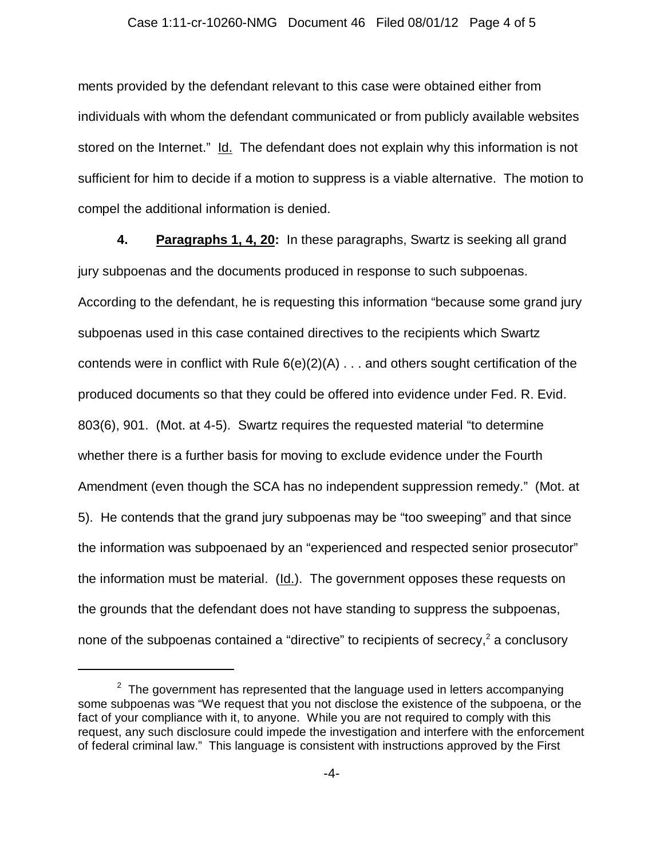#### Case 1:11-cr-10260-NMG Document 46 Filed 08/01/12 Page 4 of 5

ments provided by the defendant relevant to this case were obtained either from individuals with whom the defendant communicated or from publicly available websites stored on the Internet." Id. The defendant does not explain why this information is not sufficient for him to decide if a motion to suppress is a viable alternative. The motion to compel the additional information is denied.

**4. Paragraphs 1, 4, 20:** In these paragraphs, Swartz is seeking all grand jury subpoenas and the documents produced in response to such subpoenas. According to the defendant, he is requesting this information "because some grand jury subpoenas used in this case contained directives to the recipients which Swartz contends were in conflict with Rule  $6(e)(2)(A)$ ... and others sought certification of the produced documents so that they could be offered into evidence under Fed. R. Evid. 803(6), 901. (Mot. at 4-5). Swartz requires the requested material "to determine whether there is a further basis for moving to exclude evidence under the Fourth Amendment (even though the SCA has no independent suppression remedy." (Mot. at 5). He contends that the grand jury subpoenas may be "too sweeping" and that since the information was subpoenaed by an "experienced and respected senior prosecutor" the information must be material. (Id.). The government opposes these requests on the grounds that the defendant does not have standing to suppress the subpoenas, none of the subpoenas contained a "directive" to recipients of secrecy,<sup>2</sup> a conclusory

 $^{\rm 2}$  The government has represented that the language used in letters accompanying some subpoenas was "We request that you not disclose the existence of the subpoena, or the fact of your compliance with it, to anyone. While you are not required to comply with this request, any such disclosure could impede the investigation and interfere with the enforcement of federal criminal law." This language is consistent with instructions approved by the First